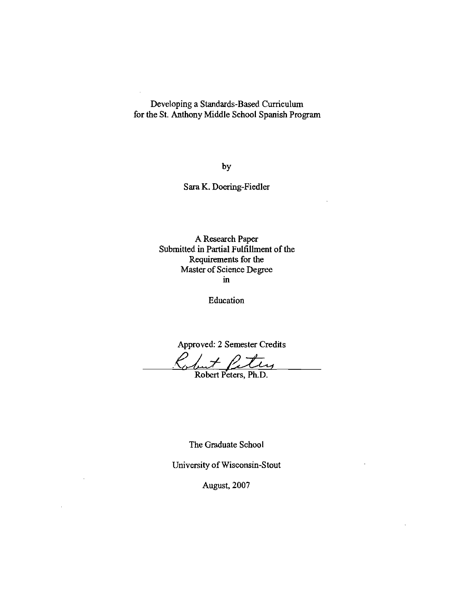Developing a Standards-Based Curriculum for the S1. Anthony Middle School Spanish Program

by

Sara K. Doering-Fiedler

A Research Paper Submitted in Partial Fulfillment of the Requirements for the Master of Science Degree ill

Education

Approved: 2 Semester Credits

*.(Jwl..* 1-~ Robert PcterS,Phli

The Graduate School

University of Wisconsin-Stout

August, 2007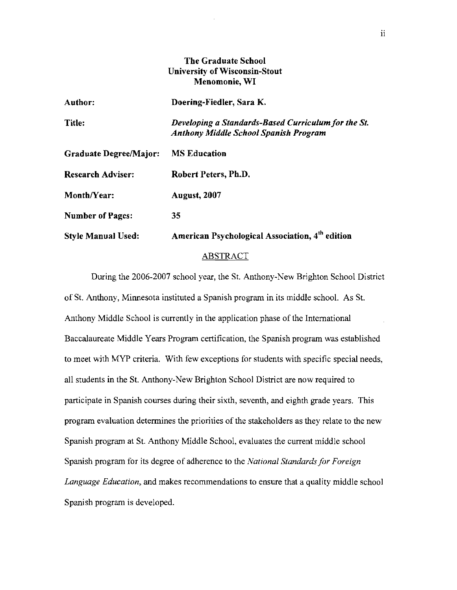# **The Graduate School University of Wisconsin-Stout Menomonie, WI**

| Author:                       | Doering-Fiedler, Sara K.                                                                            |
|-------------------------------|-----------------------------------------------------------------------------------------------------|
| <b>Title:</b>                 | Developing a Standards-Based Curriculum for the St.<br><b>Anthony Middle School Spanish Program</b> |
| <b>Graduate Degree/Major:</b> | <b>MS Education</b>                                                                                 |
| <b>Research Adviser:</b>      | Robert Peters, Ph.D.                                                                                |
| Month/Year:                   | <b>August, 2007</b>                                                                                 |
| <b>Number of Pages:</b>       | 35                                                                                                  |
| <b>Style Manual Used:</b>     | American Psychological Association, 4 <sup>th</sup> edition                                         |

### ABSTRACT

During the 2006-2007 school year, the St. Anthony-New Brighton School District of St. Anthony, Minnesota instituted a Spanish program in its middle school. As St. Anthony Middle School is currently in the application phase of the International Baccalaureate Middle Years Program certification, the Spanish program was established to meet with MYP criteria. With few exceptions for students with specific special needs, all students in the St. Anthony-New Brighton School District are now required to participate in Spanish courses during their sixth, seventh, and eighth grade years. This program evaluation determines the priorities of the stakeholders as they relate to the new Spanish program at St. Anthony Middle School, evaluates the current middle school Spanish program for its degree of adherence to the *National Standards for Foreign Language Education,* and makes recommendations to ensure that a quality middle school Spanish program is developed.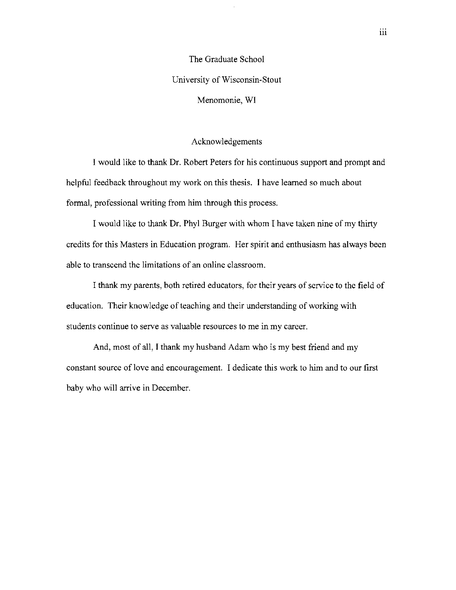The Graduate School University of Wisconsin-Stout Menomonie, **WI** 

### Acknowledgements

I would like to thank Dr. Robert Peters for his continuous support and prompt and helpful feedback throughout my work on this thesis. I have learned so much about formal, professional writing from him through this process.

I would like to thank Dr. Phyl Burger with whom I have taken nine of my thirty credits for this Masters in Education program. Her spirit and enthusiasm has always been able to transcend the limitations of an online classroom.

I thank my parents, both retired educators, for their years of service to the field of education. Their knowledge of teaching and their understanding of working with students continue to serve as valuable resources to me in my career.

And, most of all, I thank my husband Adam who is my best friend and my constant source of love and encouragement. I dedicate this work to him and to our first baby who will arrive in December.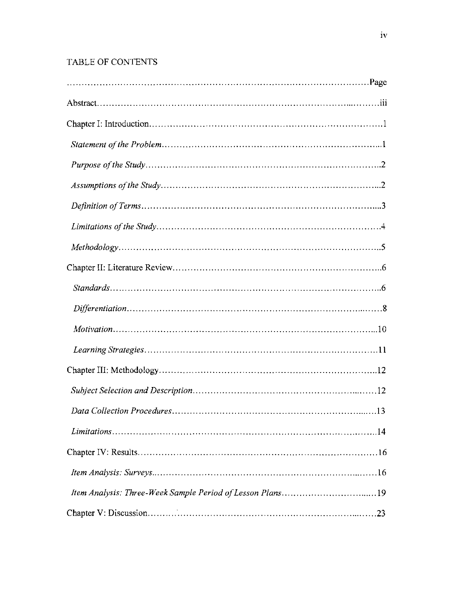# TABLE OF CONTENTS

| $\ldots$ 13 |
|-------------|
|             |
|             |
|             |
|             |
|             |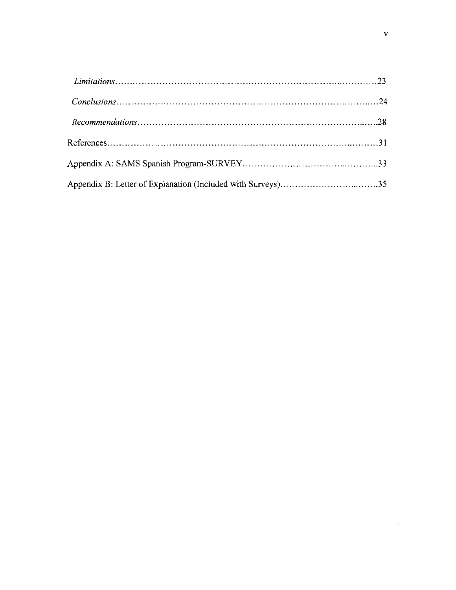| $Conclusions. \dots 124$ |  |
|--------------------------|--|
|                          |  |
|                          |  |
|                          |  |
|                          |  |

 $\label{eq:2.1} \frac{1}{\sqrt{2\pi}}\int_{0}^{\infty}\frac{1}{\sqrt{2\pi}}\left(\frac{1}{\sqrt{2\pi}}\right)^{2\alpha} \frac{1}{\sqrt{2\pi}}\int_{0}^{\infty}\frac{1}{\sqrt{2\pi}}\frac{1}{\sqrt{2\pi}}\frac{1}{\sqrt{2\pi}}\frac{1}{\sqrt{2\pi}}\frac{1}{\sqrt{2\pi}}\frac{1}{\sqrt{2\pi}}\frac{1}{\sqrt{2\pi}}\frac{1}{\sqrt{2\pi}}\frac{1}{\sqrt{2\pi}}\frac{1}{\sqrt{2\pi}}\frac{1}{\sqrt{2\pi}}\frac{$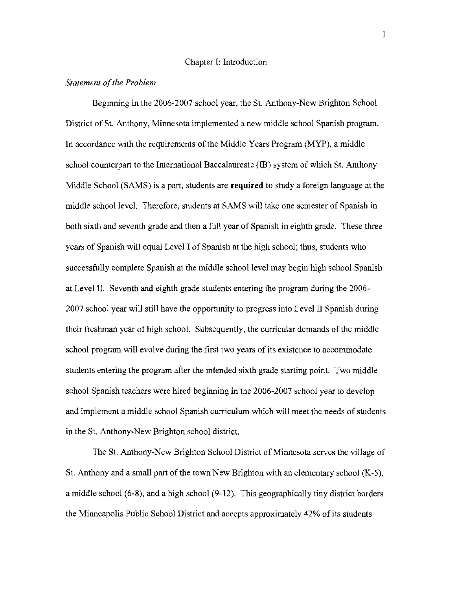#### Chapter I: Introduction

### *Statement of the Problem*

Beginning in the 2006-2007 school year, the St. Anthony-New Brighton School District of St. Anthony, Minnesota implemented a new middle school Spanish program. In accordance with the requirements of the Middle Years Program (MYP), a middle school counterpart to the International Baccalaureate (IB) system of which St. Anthony Middle School (SAMS) is a part, students are **required** to study a foreign language at the middle school level. Therefore, students at SAMS will take one semester of Spanish in both sixth and seventh grade and then a full year of Spanish in eighth grade. These three years of Spanish will equal Level I of Spanish at the high school; thus, students who successfully complete Spanish at the middle school level may begin high school Spanish at Level II. Seventh and eighth grade students entering the program during the 2006 2007 school year will still have the opportunity to progress into Level II Spanish during their freshman year of high school. Subsequently, the curricular demands of the middle school program will evolve during the first two years of its existence to accommodate students entering the program after the intended sixth grade starting point. Two middle school Spanish teachers were hired beginning in the 2006-2007 school year to develop and implement a middle school Spanish curriculum which will meet the needs of students in the St. Anthony-New Brighton school district.

The St. Anthony-New Brighton School District of Minnesota serves the village of St. Anthony and a small part of the town New Brighton with an elementary school (K-5), a middle school (6-8), and a high school (9-12). This geographically tiny district borders the Minneapolis Public School District and accepts approximately 42% of its students

I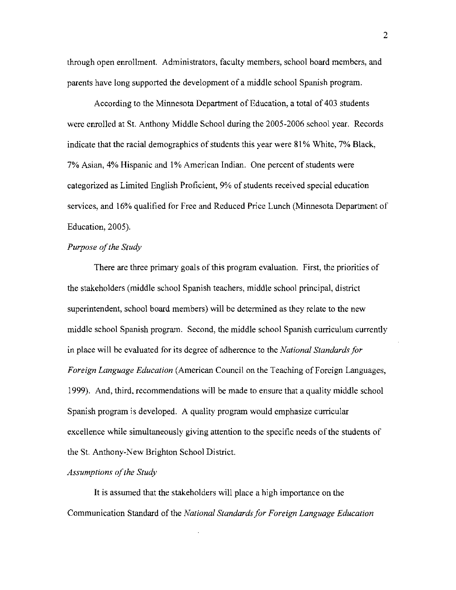through open enrollment. Administrators, faculty members, school board members, and parents have long supported the development of a middle school Spanish program.

According to the Minnesota Department of Education, a total of 403 students were enrolled at St. Anthony Middle School during the 2005-2006 school year. Records indicate that the racial demographics of students this year were 81% White, 7% Black, 7% Asian, 4% Hispanic and 1% American Indian. One percent of students were categorized as Limited English Proficient, 9% of students received special education services, and 16% qualified for Free and Reduced Price Lunch (Minnesota Department of Education, 2005).

# **Purpose of the Study**

There are three primary goals of this program evaluation. First, the priorities of the stakeholders (middle school Spanish teachers, middle school principal, district superintendent, school board members) will be determined as they relate to the new middle school Spanish program. Second, the middle school Spanish curriculum currently in place will be evaluated for its degree of adherence to the *National Standards for Foreign Language Education* (American Council on the Teaching of Foreign Languages, 1999). And, third, recommendations will be made to ensure that a quality middle school Spanish program is developed. A quality program would emphasize curricular excellence while simultaneously giving attention to the specific needs of the students of the St. Anthony-New Brighton School District.

### Assumptions of the Study

It is assumed that the stakeholders will place a high importance on the Communication Standard of the *National Standardsfor Foreign Language Education*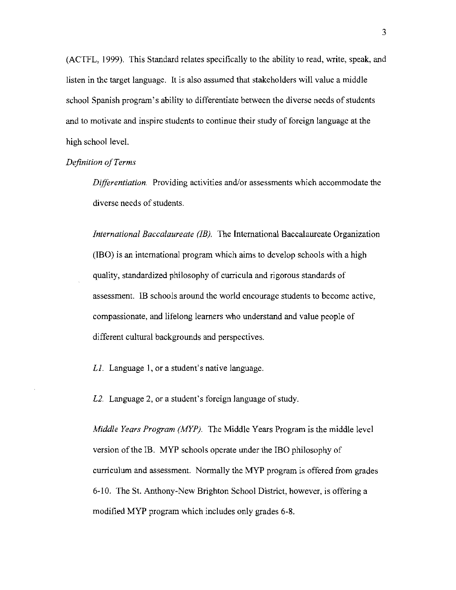(ACTFL, 1999). This Standard relates specifically to the ability to read, write, speak, and listen in the target language. It is also assumed that stakeholders will value a middle school Spanish program's ability to differentiate between the diverse needs of students and to motivate and inspire students to continue their study of foreign language at the high school level.

### *Definition ofTerms*

*Differentiation.* Providing activities and/or assessments which accommodate the diverse needs of students.

*International Baccalaureate (IB).* The International Baccalaureate Organization (lBO) is an international program which aims to develop schools with a high quality, standardized philosophy of curricula and rigorous standards of assessment. lB schools around the world encourage students to become active, compassionate, and lifelong learners who understand and value people of different cultural backgrounds and perspectives.

 $L1$ . Language 1, or a student's native language.

*L2.* Language 2, or a student's foreign language of study.

*Middle Years Program (AfYP).* The Middle Years Program is the middle level version of the IB. MYP schools operate under the IBO philosophy of curriculum and assessment. Normally the MYP program is offered from grades 6-10. The St. Anthony-New Brighton School District, however, is offering a modified MYP program which includes only grades 6-8.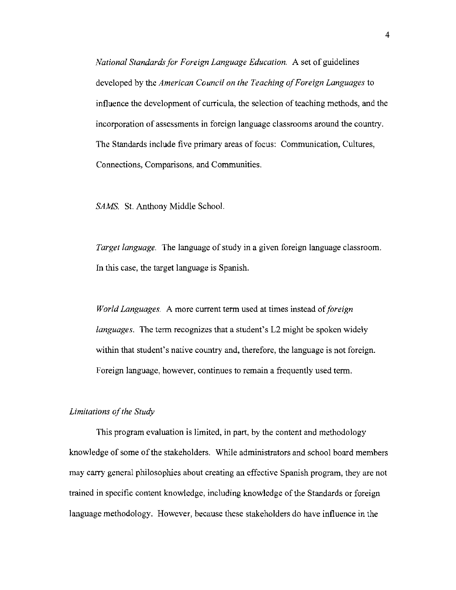*National Standards for Foreign Language Education.* A set of guidelines developed by the *American Council on the Teaching of Foreign Languages* to influence the development of curricula, the selection of teaching methods, and the incorporation of assessments in foreign language classrooms around the country. The Standards include five primary areas of focus: Communication, Cultures, Connections, Comparisons, and Communities.

SAMS. St. Anthony Middle School.

*Target language.* The language of study in a given foreign language classroom. In this case, the target language is Spanish.

*World Languages.* A more current term used at times instead *oiforetgn languages.* The term recognizes that a student's L2 might be spoken widely within that student's native country and, therefore, the language is not foreign. Foreign language, however, continues to remain a frequently used term.

# Limitations of the Study

This program evaluation is limited, in part, by the content and methodology knowledge of some of the stakeholders. While administrators and school board members may carry general philosophies about creating an effective Spanish program, they are not trained in specific content knowledge, including knowledge of the Standards or foreign language methodology. However, because these stakeholders do have influence in the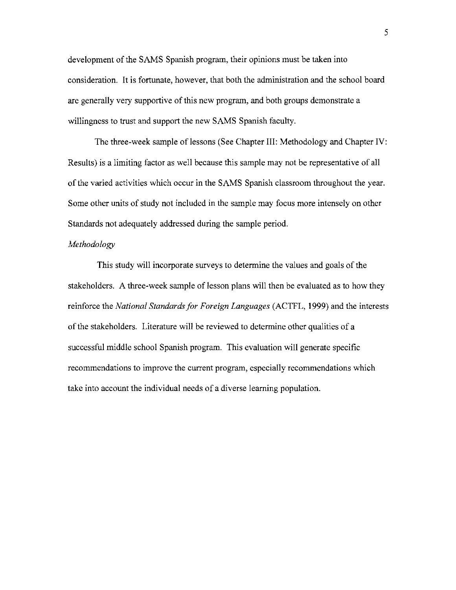development of the SAMS Spanish program, their opinions must be taken into consideration. It is fortunate, however, that both the administration and the school board are generally very supportive of this new program, and both groups demonstrate a willingness to trust and support the new SAMS Spanish faculty.

The three-week sample of lessons (See Chapter III: Methodology and Chapter IV: Results) is a limiting factor as well because this sample may not be representative of all of the varied activities which occur in the SAMS Spanish classroom throughout the year. Some other units of study not included in the sample may focus more intensely on other Standards not adequately addressed during the sample period.

## *Methodology*

This study will incorporate surveys to determine the values and goals of the stakeholders. A three-week sample of lesson plans will then be evaluated as to how they reinforce the *National Standards for Foreign Languages* (ACTFL, 1999) and the interests of the stakeholders. Literature will be reviewed to determine other qualities of a successful middle school Spanish program. This evaluation will generate specific recommendations to improve the current program, especially recommendations which take into account the individual needs of a diverse learning population.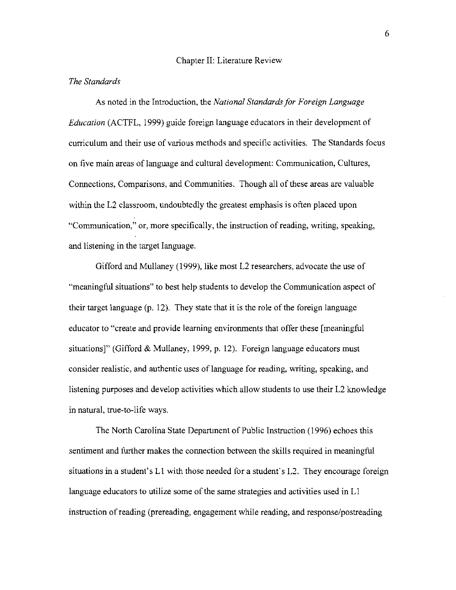## Chapter II: Literature Review

### *The Standards*

As noted in the Introduction, the *National Standards for Foreign Language Education* (ACTFL, 1999) guide foreign language educators in their development of curriculum and their use of various methods and specific activities. The Standards focus on five main areas of language and cultural development: Communication, Cultures, Connections, Comparisons, and Communities. Though all of these areas are valuable within the L2 classroom, undoubtedly the greatest emphasis is often placed upon "Communication," or, more specifically, the instruction of reading, writing, speaking, and listening in the target language.

Gifford and Mullaney (1999), like most L2 researchers, advocate the use of "meaningful situations" to best help students to develop the Communication aspect of their target language (p. 12). They state that it is the role of the foreign language educator to "create and provide learning environments that offer these [meaningful situations]" (Gifford & Mullaney, 1999, p. 12). Foreign language educators must consider realistic, and authentic uses of language for reading, writing, speaking, and listening purposes and develop activities which allow students to use their L2 knowledge in natural, true-to-life ways.

The North Carolina State Department of Public Instruction (1996) echoes this sentiment and further makes the connection between the skills required in meaningful situations in a student's L1 with those needed for a student's L2. They encourage foreign language educators to utilize some of the same strategies and activities used in L1 instruction ofreading (prereading, engagement while reading, and response/postreading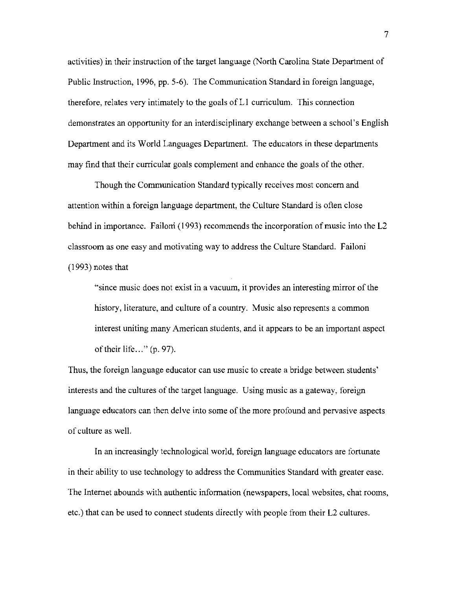activities) in their instruction of the target language (North Carolina State Department of Public Instruction, 1996, pp. 5-6). The Communication Standard in foreign language, therefore, relates very intimately to the goals of Ll curriculum. This connection demonstrates an opportunity for an interdisciplinary exchange between a school's English Department and its World Languages Department. The educators in these departments may find that their curricular goals complement and enhance the goals of the other.

Though the Communication Standard typically receives most concern and attention within a foreign language department, the Culture Standard is often close behind in importance. Failoni (1993) recommends the incorporation of music into the L2 classroom as one easy and motivating way to address the Culture Standard. Failoni (1993) notes that

"since music does not exist in a vacuum, it provides an interesting mirror of the history, literature, and culture of a country. Music also represents a common interest uniting many American students, and it appears to be an important aspect of their life..." (p. 97).

Thus, the foreign language educator can use music to create a bridge between students' interests and the cultures of the target language. Using music as a gateway, foreign language educators can then delve into some of the more profound and pervasive aspects of culture as well.

In an increasingly technological world, foreign language educators are fortunate in their ability to use technology to address the Communities Standard with greater ease. The Internet abounds with authentic information (newspapers, local websites, chat rooms, etc.) that can be used to connect students directly with people from their L2 cultures.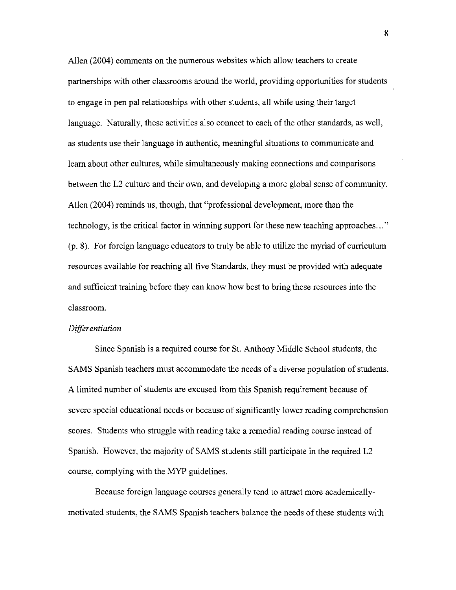Allen (2004) comments on the numerous websites which allow teachers to create partnerships with other classrooms around the world, providing opportunities for students to engage in pen pal relationships with other students, all while using their target language. Naturally, these activities also connect to each of the other standards, as well, as students use their language in authentic, meaningful situations to communicate and learn about other cultures, while simultaneously making connections and comparisons between the L2 culture and their own, and developing a more global sense of community. Allen (2004) reminds us, though, that "professional development, more than the technology, is the critical factor in winning support for these new teaching approaches ... " (p. 8). For foreign language educators to truly be able to utilize the myriad of curriculum resources available for reaching all five Standards, they must be provided with adequate and sufficient training before they can know how best to bring these resources into the classroom.

#### *Differentiation*

Since Spanish is a required course for S1. Anthony Middle School students, the SAMS Spanish teachers must accommodate the needs of a diverse population of students. A limited number of students are excused from this Spanish requirement because of severe special educational needs or because of significantly lower reading comprehension scores. Students who struggle with reading take a remedial reading course instead of Spanish. However, the majority of SAMS students still participate in the required L2 course, complying with the MYP guidelines.

Because foreign language courses generally tend to attract more academicallymotivated students, the SAMS Spanish teachers balance the needs ofthese students with

8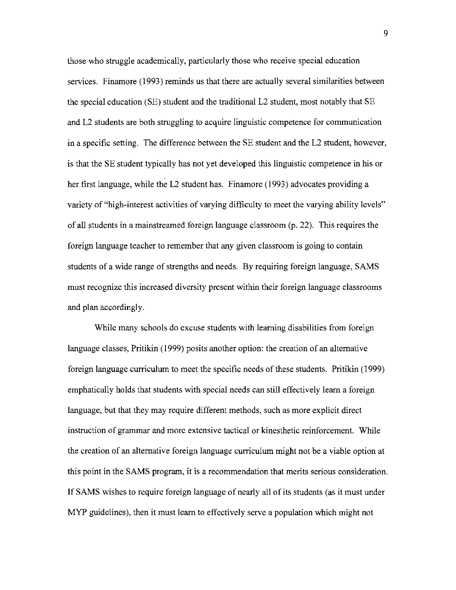those who struggle academically, particularly those who receive special education services. Finamore (1993) reminds us that there are actually several similarities between the special education (SE) student and the traditional L2 student, most notably that SE and L2 students are both struggling to acquire linguistic competence for communication in a specific setting. The difference between the SE student and the L2 student, however, is that the SE student typically has not yet developed this linguistic competence in his or her first language, while the L2 student has. Finamore (1993) advocates providing a variety of "high-interest activities of varying difficulty to meet the varying ability levels" of all students in a mainstreamed foreign language classroom (p. 22). This requires the foreign language teacher to remember that any given classroom is going to contain students of a wide range of strengths and needs. By requiring foreign language, SAMS must recognize this increased diversity present within their foreign language classrooms and plan accordingly.

While many schools do excuse students with learning disabilities from foreign language classes, Pritikin (1999) posits another option: the creation of an alternative foreign language curriculum to meet the specific needs of these students. Pritikin (1999) emphatically holds that students with special needs can still effectively learn a foreign language, but that they may require different methods, such as more explicit direct instruction of grammar and more extensive tactical or kinesthetic reinforcement. While the creation of an alternative foreign language curriculum might not be a viable option at this point in the SAMS program, it is a recommendation that merits serious consideration. **If** SAMS wishes to require foreign language of nearly all of its students (as it must under MYP guidelines), then it must learn to effectively serve a population which might not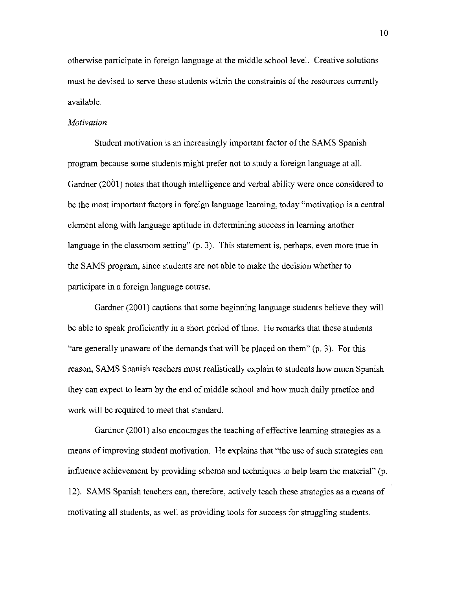otherwise participate in foreign language at the middle school level. Creative solutions must be devised to serve these students within the constraints of the resources currently available.

### *Motivation*

Student motivation is an increasingly important factor of the SAMS Spanish program because some students might prefer not to study a foreign language at all. Gardner (2001) notes that though intelligence and verbal ability were once considered to be the most important factors in foreign language learning, today "motivation is a central element along with language aptitude in determining success in learning another language in the classroom setting" (p. 3). This statement is, perhaps, even more true in the SAMS program, since students are not able to make the decision whether to participate in a foreign language course.

Gardner (2001) cautions that some beginning language students believe they will be able to speak proficiently in a short period of time. He remarks that these students "are generally unaware of the demands that will be placed on them" (p. 3). For this reason, SAMS Spanish teachers must realistically explain to students how much Spanish they can expect to learn by the end of middle school and how much daily practice and work will be required to meet that standard.

Gardner (2001) also encourages the teaching of effective learning strategies as a means of improving student motivation. He explains that "the use of such strategies can influence achievement by providing schema and techniques to help learn the material"  $(p.$ 12). SAMS Spanish teachers can, therefore, actively teach these strategies as a means of motivating all students, as well as providing tools for success for struggling students.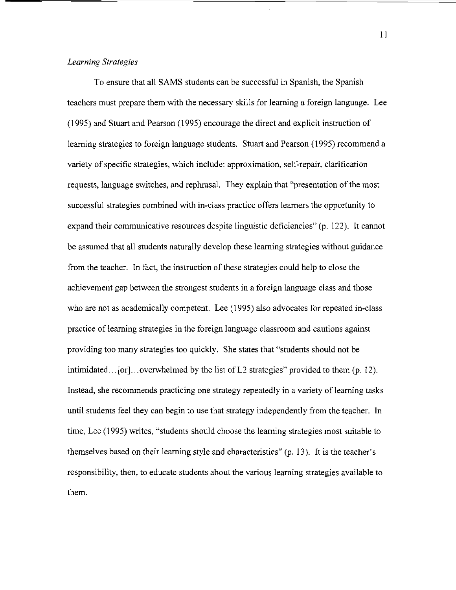# *Learning Strategies*

To ensure that all SAMS students can be successful in Spanish, the Spanish teachers must prepare them with the necessary skills for learning a foreign language. Lee (1995) and Stuart and Pearson (1995) encourage the direct and explicit instruction of learning strategies to foreign language students. Stuart and Pearson (1995) recommend a variety of specific strategies, which include: approximation, self-repair, clarification requests, language switches, and rephrasal. They explain that "presentation of the most successful strategies combined with in-class practice offers learners the opportunity to expand their communicative resources despite linguistic deficiencies" (p. 122). It cannot be assumed that all students naturally develop these learning strategies without guidance from the teacher. 1n fact, the instruction of these strategies could help to close the achievement gap between the strongest students in a foreign language class and those who are not as academically competent. Lee (1995) also advocates for repeated in-class practice of learning strategies in the foreign language classroom and cautions against providing too many strategies too quickly. She states that "students should not be intimidated... [or]...overwhelmed by the list of L2 strategies" provided to them (p. 12). Instead, she recommends practicing one strategy repeatedly in a variety of learning tasks until students feel they can begin to use that strategy independently from the teacher. In time, Lee (1995) writes, "students should choose the learning strategies most suitable to themselves based on their learning style and characteristics" (p. 13). It is the teacher's responsibility, then, to educate students about the various learuing strategies available to them.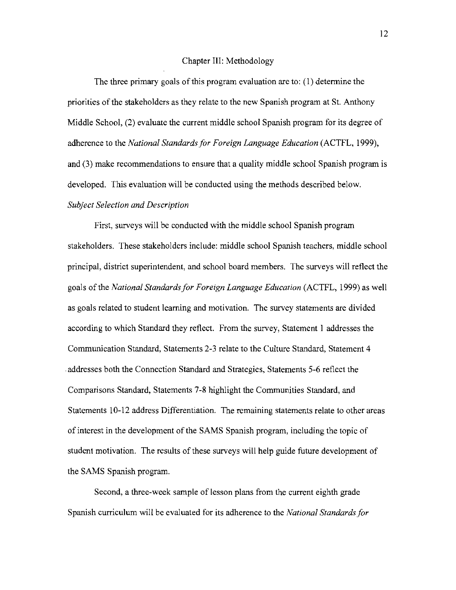### Chapter III: Methodology

The three primary goals of this program evaluation are to: (1) determine the priorities of the stakeholders as they relate to the new Spanish program at St. Anthony Middle School, (2) evaluate the current middle school Spanish program for its degree of adherence to the *National Standards/or Foreign Language Education* (ACTFL, 1999), and (3) make recommendations to ensure that a quality middle school Spanish program is developed. This evaluation will be conducted using the methods described below. *Subject Selection and Description* 

First, surveys will be conducted with the middle school Spanish program stakeholders. These stakeholders include: middle school Spanish teachers, middle school principal, district superintendent, and school board members. The surveys will reflect the goals ofthe *National Standards/or Foreign Language Education* (ACTFL, 1999) as well as goals related to student learning and motivation. The survey statements are divided according to which Standard they reflect. From the survey, Statement I addresses the Communication Standard, Statements 2-3 relate to the Culture Standard, Statement 4 .addresses both the Connection Standard and Strategies, Statements 5-6 reflect the Comparisons Standard, Statements 7-8 highlight the Communities Standard, and Statements 10-12 address Differentiation. The remaining statements relate to other areas of interest in the development of the SAMS Spanish program, including the topic of student motivation. The results of these surveys will help guide future development of the SAMS Spanish program.

Second, a three-week sample of lesson plans from the current eighth grade Spanish curriculum will be evaluated for its adherence to the *National Standards/or*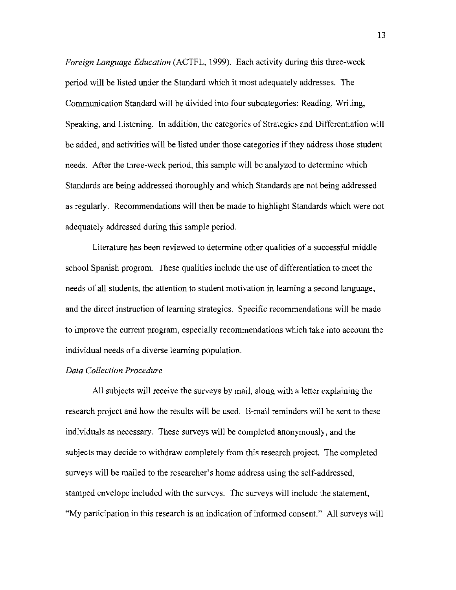*Foreign Language Education* (ACTFL, 1999). Each activity during this three-week period will be listed under the Standard which it most adequately addresses. The Communication Standard will be divided into four subcategories: Reading, Writing, Speaking, and Listening. In addition, the categories of Strategies and Differentiation will be added, and activities will be listed under those categories if they address those student needs. After the three-week period, this sample will be analyzed to determine which Standards are being addressed thoroughly and which Standards are not being addressed as regularly. Recommendations will then be made to highlight Standards which were not adequately addressed during this sample period.

Literature has been reviewed to determine other qualities of a successful middle school Spanish program. These qualities include the use of differentiation to meet the needs of all students, the attention to student motivation in learning a second language, and the direct instruction of learning strategies. Specific recommendations will be made to improve the current program, especially recommendations which take into account the individual needs of a diverse learning population.

### *Data Collection Procedure*

All subjects will receive the surveys by mail, along with a letter explaining the research project and how the results will be used. E-mail reminders will be sent to these individuals as necessary. These surveys will be completed anonymously, and the subjects may decide to withdraw completely from this research project. The completed surveys will be mailed to the researcher's home address using the self-addressed, stamped envelope included with the surveys. The surveys will include the statement, "My participation in this research is an indication of informed consent." All surveys will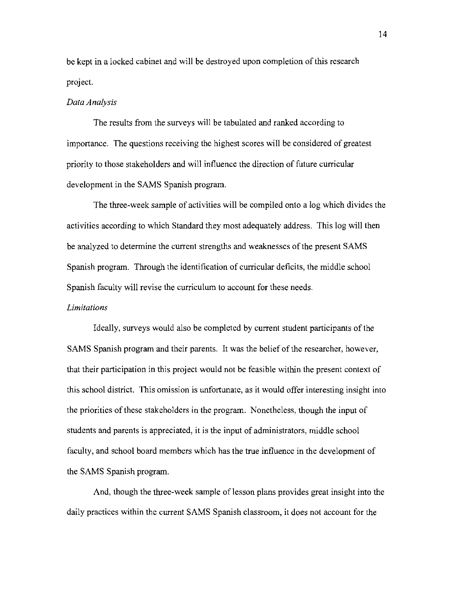be kept in a locked cabinet and will be destroyed upon completion of this research project.

#### *Data Analysis*

The results from the surveys will be tabulated and ranked according to importance. The questions receiving the highest scores will be considered of greatest priority to those stakeholders and will influence the direction of future curricular development in the SAMS Spanish program.

The three-week sample of activities will be compiled onto a log which divides the activities according to which Standard they most adequately address. This log will then be analyzed to determine the current strengths and weaknesses of the present SAMS Spanish program. Through the identification of curricular deficits, the middle school Spanish faculty will revise the curriculum to account for these needs.

### *Limitations*

Ideally, surveys would also be completed by current student participants of the SAMS Spanish program and their parents. It was the belief of the researcher, however, that their participation in this project would not be feasible within the present context of this school district. This omission is unfortunate, as it would offer interesting insight into the priorities of these stakeholders in the program. Nonetheless, though the input of students and parents is appreciated, it is the input of administrators, middle school faculty, and school board members which has the true influence in the development of the SAMS Spanish program.

And, though the three-week sample of lesson plans provides great insight into the daily practices within the current SAMS Spanish classroom, it does not account for the

14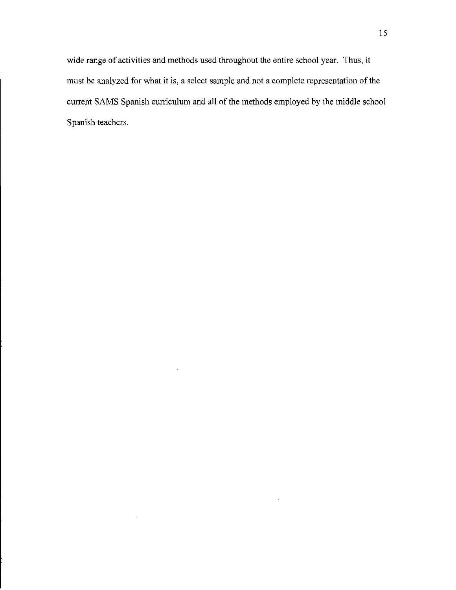wide range of activities and methods used throughout the entire school year. Thus, it must be analyzed for what it is, a select sample and not a complete representation of the current SAMS Spanish curriculum and all of the methods employed by the middle school Spanish teachers.

 $\ddot{\phantom{a}}$ 

 $\lambda$ 

 $\bar{\gamma}$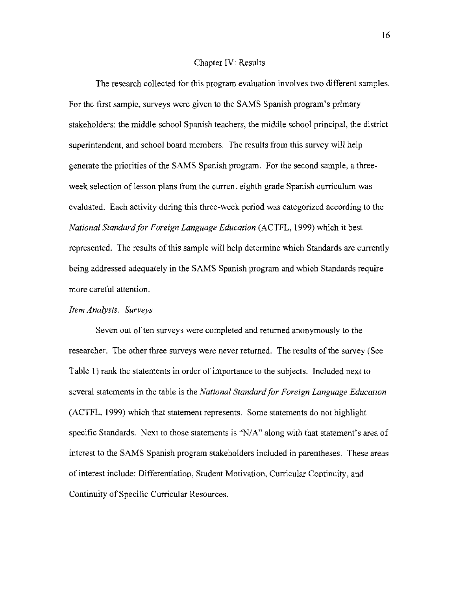#### Chapter IV: Results

The research collected for this program evaluation involves two different samples. For the first sample, surveys were given to the SAMS Spanish program's primary stakeholders: the middle school Spanish teachers, the middle school principal, the district superintendent, and school board members. The results from this survey will help generate the priorities of the SAMS Spanish program. For the second sample, a threeweek selection of lesson plans from the current eighth grade Spanish curriculum was evaluated. Each activity during this three-week period was categorized according to the *National Standard for Foreign Language Education* (ACTFL, 1999) which it best represented. The results of this sample will help determine which Standards are currently being addressed adequately in the SAMS Spanish program and which Standards require more careful attention.

# *Item Analysis: Surveys*

Seven out of ten surveys were completed and returned anonymously to the researcher. The other three surveys were never returned. The results of the survey (See Table I) rank the statements in order of importance to the subjects. Included next to several statements in the table is the *National Standard for Foreign Language Education* (ACTFL, 1999) which that statement represents. Some statements do not highlight specific Standards. Next to those statements is "N/A" along with that statement's area of interest to the SAMS Spanish program stakeholders included in parentheses. These areas of interest include: Differentiation, Student Motivation, Curricular Continuity, and Continuity of Specific Curricular Resources.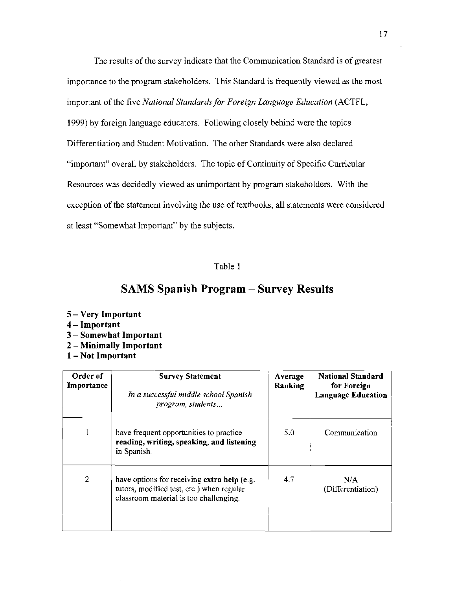The results of the survey indicate that the Communication Standard is of greatest importance to the program stakeholders. This Standard is frequently viewed as the most important of the five *National Standards for Foreign Language Education* (ACTFL,

1999) by foreign language educators. Following closely behind were the topics Differentiation and Student Motivation. The other Standards were also declared "important" overall by stakeholders. The topic of Continuity of Specific Curricular Resources was decidedly viewed as unimportant by program stakeholders. With the exception of the statement involving the use of textbooks, all statements were considered at least "Somewhat Important" by the subjects.

# Table I

# **SAMS Spanish Program - Survey Results**

### 5 - **Very Important**

- 4 **- Important**
- 3 **- Somewhat Important**
- 2 **- Minimally Important**
- **1- Not Important**

| Order of<br>Importance | <b>Survey Statement</b><br>In a successful middle school Spanish<br>program, students                                              | Average<br>Ranking | <b>National Standard</b><br>for Foreign<br><b>Language Education</b> |
|------------------------|------------------------------------------------------------------------------------------------------------------------------------|--------------------|----------------------------------------------------------------------|
|                        | have frequent opportunities to practice<br>reading, writing, speaking, and listening<br>in Spanish.                                | 5.0                | Communication                                                        |
| 2                      | have options for receiving extra help (e.g.<br>tutors, modified test, etc.) when regular<br>classroom material is too challenging. | 4.7                | N/A<br>(Differentiation)                                             |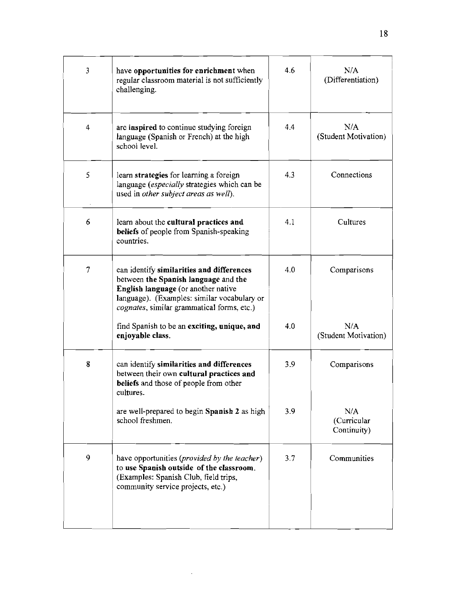| $\mathbf{3}$   | have opportunities for enrichment when<br>regular classroom material is not sufficiently<br>challenging.                                                                                                              | 4.6 | N/A<br>(Differentiation)          |
|----------------|-----------------------------------------------------------------------------------------------------------------------------------------------------------------------------------------------------------------------|-----|-----------------------------------|
| $\overline{4}$ | are inspired to continue studying foreign<br>language (Spanish or French) at the high<br>school level.                                                                                                                | 4.4 | N/A<br>(Student Motivation)       |
| 5              | learn strategies for learning a foreign<br>language (especially strategies which can be<br>used in other subject areas as well).                                                                                      | 4.3 | Connections                       |
| 6              | learn about the cultural practices and<br>beliefs of people from Spanish-speaking<br>countries.                                                                                                                       | 4.1 | Cultures                          |
|                | can identify similarities and differences<br>between the Spanish language and the<br>English language (or another native<br>language). (Examples: similar vocabulary or<br>cognates, similar grammatical forms, etc.) | 4.0 | Comparisons                       |
|                | find Spanish to be an exciting, unique, and<br>enjoyable class.                                                                                                                                                       | 4.0 | N/A<br>(Student Motivation)       |
| 8              | can identify similarities and differences<br>between their own cultural practices and<br>beliefs and those of people from other<br>cultures.                                                                          | 3.9 | Comparisons                       |
|                | are well-prepared to begin Spanish 2 as high<br>school freshmen.                                                                                                                                                      | 3.9 | N/A<br>(Curricular<br>Continuity) |
| 9              | have opportunities ( <i>provided by the teacher</i> )<br>to use Spanish outside of the classroom.<br>(Examples: Spanish Club, field trips,<br>community service projects, etc.)                                       | 3.7 | Communities                       |
|                |                                                                                                                                                                                                                       |     |                                   |

 $\sim 300$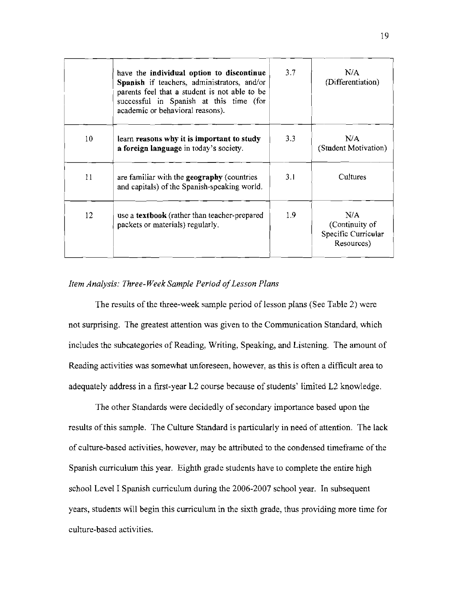|    | have the individual option to discontinue<br>Spanish if teachers, administrators, and/or<br>parents feel that a student is not able to be<br>successful in Spanish at this time (for<br>academic or behavioral reasons). | 3.7 | N/A<br>(Differentiation)                                   |
|----|--------------------------------------------------------------------------------------------------------------------------------------------------------------------------------------------------------------------------|-----|------------------------------------------------------------|
| 10 | learn reasons why it is important to study<br>a foreign language in today's society.                                                                                                                                     | 3.3 | N/A<br>(Student Motivation)                                |
| 11 | are familiar with the <b>geography</b> (countries<br>and capitals) of the Spanish-speaking world.                                                                                                                        | 3.1 | <b>Cultures</b>                                            |
| 12 | use a textbook (rather than teacher-prepared<br>packets or materials) regularly.                                                                                                                                         | 1.9 | N/A<br>(Continuity of<br>Specific Curricular<br>Resources) |

# *Item Analysis: Three- Week Sample Period ofLesson Plans*

The results of the three-week sample period of lesson plans (See Table 2) were not surprising. The greatest attention was given to the Communication Standard, which includes the subcategories of Reading, Writing, Speaking, and Listening. The amount of Reading activities was somewhat unforeseen, however, as this is often a difficult area to adequately address in a first-year L2 course because of students' limited L2 knowledge.

The other Standards were decidedly of secondary importance based upon the results of this sample. The Culture Standard is particularly in need of attention. The lack of culture-based activities, however, may be attributed to the condensed timeframe of the Spanish curriculum this year. Eighth grade students have to complete the entire high school Level I Spanish curriculum during the 2006-2007 school year. In subsequent years, students will begin this curriculum in the sixth grade, thus providing more time for culture-based activities.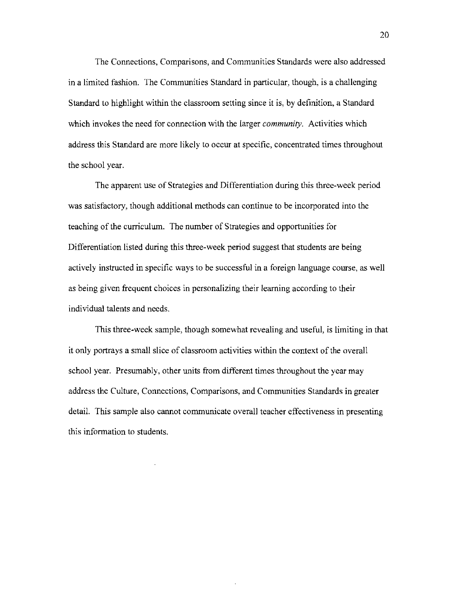The Connections, Comparisons, and Communities Standards were also addressed in a limited fashion. The Communities Standard in particular, though, is a challenging Standard to highlight within the classroom setting since it is, by definition, a Standard which invokes the need for connection with the larger *community.* Activities which address this Standard are more likely to occur at specific, concentrated times throughout the school year.

The apparent use of Strategies and Differentiation during this three-week period was satisfactory, though additional methods can continue to be incorporated into the teaching of the curriculum. The number of Strategies and opportunities for Differentiation listed during this three-week period suggest that students are being actively instructed in specific ways to be successful in a foreign language course, as well as being given frequent choices in personalizing their learning according to their individual talents and needs.

This three-week sample, though somewhat revealing and useful, is limiting in that it only portrays a small slice of classroom activities within the context of the overall school year. Presumably, other units from different times throughout the year may address the Culture, Connections, Comparisons, and Communities Standards in greater detail. This sample also cannot communicate overall teacher effectiveness in presenting this information to students.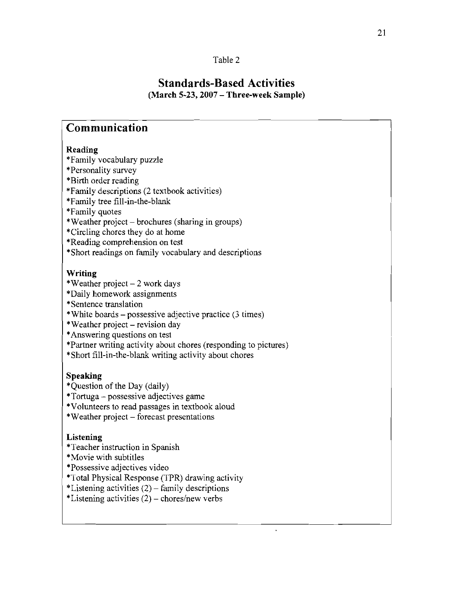# **Standards-Based Activities**

**(March 5-23, 2007 - Three-week Sample)** 

# **Communication**

# **Reading**

- 'Family vocabulary puzzle
- 'Personality survey
- 'Birth order reading
- 'Family descriptions (2 textbook activities)
- 'Family tree fill-in-the-blank
- 'Family quotes
- 'Weather project brochures (sharing in groups)
- 'Circling chores they do at home
- 'Reading comprehension on test
- 'Short readings on family vocabulary and descriptions

# **Writing**

- \*Weather project  $-2$  work days
- 'Daily homework assignments
- 'Sentence translation
- 'White boards possessive adjective practice (3 times)
- $*$ Weather project revision day
- 'Answering questions on test
- 'Partner writing activity about chores (responding to pictures)
- 'Short fill-in-the-blank writing activity about chores

# **Speaking**

- \*Ouestion of the Day (daily)
- $*$ Tortuga possessive adjectives game
- 'Volunteers to read passages in textbook aloud
- 'Weather project forecast presentations

# **Listening**

- 'Teacher instruction in Spanish
- 'Movie with subtitles
- 'Possessive adjectives video
- 'Total Physical Response (TPR) drawing activity

 $\mathbf{r}$ 

- \*Listening activities  $(2)$  family descriptions
- \*Listening activities  $(2)$  chores/new verbs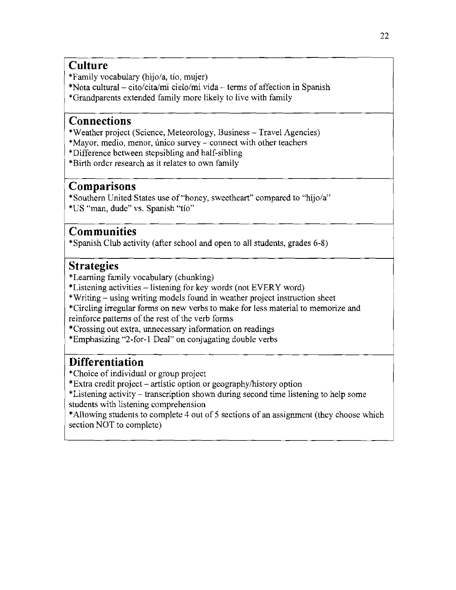# **Culture**

'Family vocabulary (hijo/a, tio, mujer)

'Nota cultural- cito/cita/rni *cielo/mi* vida - terms of affection in Spanish

'Grandparents extended family more likely to live with family

# **Connections**

'Weather project (Science, Meteorology, Business - Travel Agencies)

'Mayor, medio, menor, unico survey - connect with other teachers

'Difference between stepsibling and half-sibling

'Birth order research as it relates to own family

# **Comparisons**

'Southern United States use of "honey, sweetheart" compared to "hijo/a" 'US "man, dude" vs. Spanish "tio"

# \ **Communities**

'Spanish Club activity (after school and open to all students, grades 6-8)

# **Strategies**

I

I

'Learning family vocabulary (chunking)

'Listening activities -listening for key words (not EVERY word)

• Writing - using writing models found in weather project instruction sheet

'Circling irregular forms on new verbs to make for less material to memorize and reinforce patterns of the rest of the verb forms

'Crossing out extra, unnecessary information on readings

'Emphasizing "2-for-1 Deal" on conjugating double verbs

# **Differentiation**

'Choice of individual or group project

'Extra credit project - artistic option or geographylhistory option

'Listening activity - transcription shown during second time listening to help some students with listening comprehension

•Allowing students to complete 4 out of 5 sections of an assignment (they choose which section NOT to complete)

l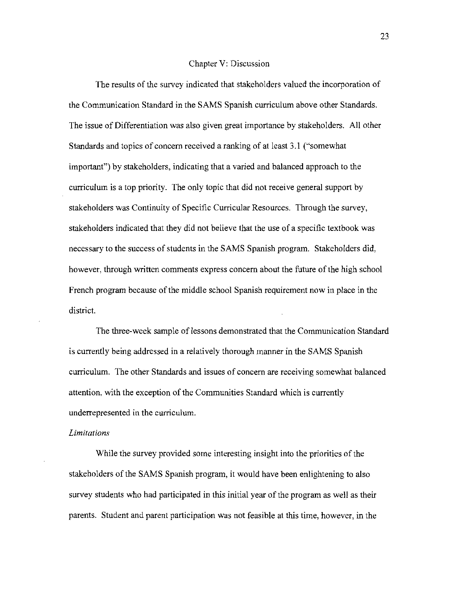#### Chapter V: Discussion

The results of the survey indicated that stakeholders valued the incorporation of the Communication Standard in the SAMS Spanish curriculum above other Standards. The issue of Differentiation was also given great importance by stakeholders. All other Standards and topics of concern received a ranking of at least 3.1 ("somewhat important") by stakeholders, indicating that a varied and balanced approach to the curriculum is a top priority. The only topic that did not receive general support by stakeholders was Continuity of Specific Curricular Resources. Through the survey, stakeholders indicated that they did not believe that the use of a specific textbook was necessary to the success of students in the SAMS Spanish program. Stakeholders did, however, through written comments express concern about the future of the high school French program because of the middle school Spanish requirement now in place in the district.

The three-week sample of lessons demonstrated that the Communication Standard is currently being addressed in a relatively thorough manner in the SAMS Spanish curriculum. The other Standards and issues of concern are receiving somewhat balanced attention, with the exception of the Communities Standard which is currently underrepresented in the curriculum.

# *Limitations*

While the survey provided some interesting insight into the priorities of the stakeholders of the SAMS Spanish program, it would have been enlightening to also survey students who had participated in this initial year of the program as well as their parents. Student and parent participation was not feasible at this time, however, in the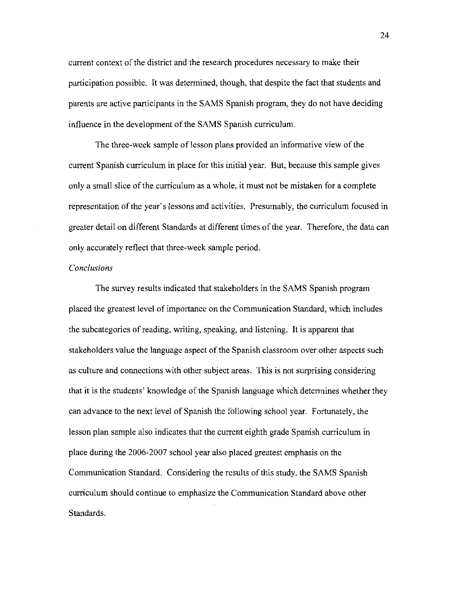current context of the district and the research procedures necessary to make their participation possible. It was determined, though, that despite the fact that students and parents are active participants in the SAMS Spanish program, they do not have deciding influence in the development of the SAMS Spanish curriculum.

The three-week sample of lesson plans provided an informative view of the current Spanish curriculum in place for this initial year. But, because this sample gives only a small slice of the curriculum as a whole, it must not be mistaken for a complete representation of the year's lessons and activities. Presumably, the curriculum focused in greater detail on different Standards at different times of the year. Therefore, the data can only accurately reflect that three-week sample period.

# *Conclusions*

The survey results indicated that stakeholders in the SAMS Spanish program placed the greatest level of importance on the Communication Standard, which includes the subcategories of reading, writing, speaking, and listening. It is apparent that stakeholders value the language aspect of the Spanish classroom over other aspects such as culture and connections with other subject areas. This is not surprising considering that it is the students' knowledge of the Spanish language which determines whether they can advance to the next level of Spanish the following school year. Fortunately, the lesson plan sample also indicates that the current eighth grade Spanish curriculum in place during the 2006-2007 school year also placed greatest emphasis on the Communication Standard. Considering the results of this study, the SAMS Spanish curriculum should continue to emphasize the Communication Standard above other Standards.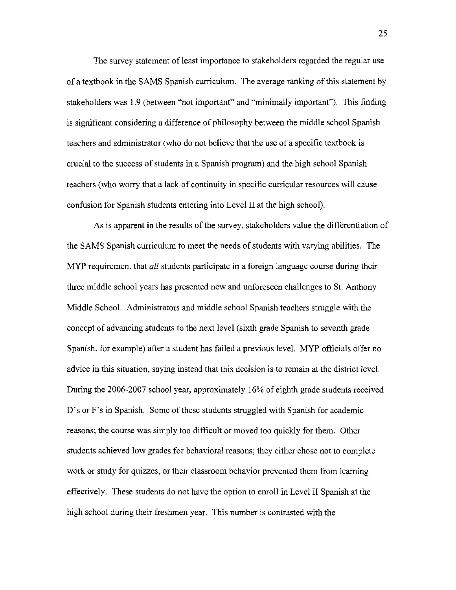The survey statement of least importance to stakeholders regarded the regular use of a textbook in the SAMS Spanish curriculum. The average ranking ofthis statement by stakeholders was 1.9 (between "not important" and "minimally important"). This finding is significant considering a difference of philosophy between the middle school Spanish teachers and administrator (who do not believe that the use of a specific textbook is crucial to the success of students in a Spanish program) and the high school Spanish teachers (who worry that a lack of continuity in specific curricular resources will cause confusion for Spanish students entering into Level II at the high school).

As is apparent in the results of the survey, stakeholders value the differentiation of the SAMS Spanish curriculum to meet the needs of students with varying abilities. The MYP requirement that *all* students participate in a foreign language course during their three middle school years has presented new and unforeseen challenges to St. Anthony Middle School. Administrators and middle school Spanish teachers struggle with the concept of advancing students to the next level (sixth grade Spanish to seventh grade Spanish, for example) after a student has failed a previous level. MYP officials offer no advice in this situation, saying instead that this decision is to remain at the district level. During the 2006-2007 school year, approximately 16% of eighth grade students received D's or F's in Spanish. Some of these students struggled with Spanish for academic reasons; the course was simply too difficult or moved too quickly for them. Other students achieved low grades for behavioral reasons; they either chose not to complete work or study for quizzes, or their classroom behavior prevented them from learning effectively. These students do not have the option to enroll in Level II Spanish at the high school during their freshmen year. This number is contrasted with the

25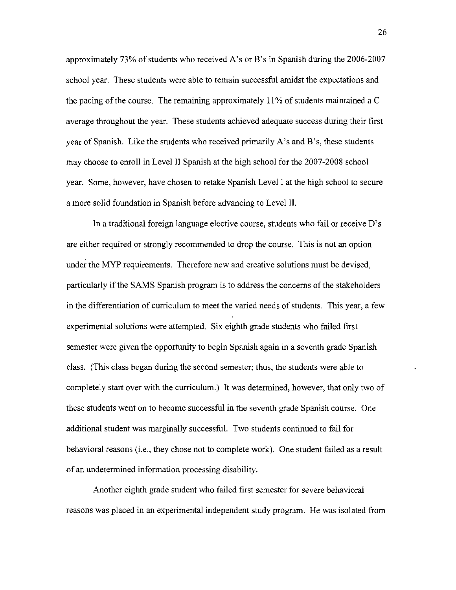approximately 73% of students who received A's or B's in Spanish during the 2006-2007 school year. These students were able to remain successful amidst the expectations and the pacing of the course. The remaining approximately 11 % of students maintained a C average throughout the year. These students achieved adequate success during their first year of Spanish. Like the students who received primarily A's and B's, these students may choose to enroll in Level II Spanish at the high school for the 2007-2008 school year. Some, however, have chosen to retake Spanish Level I at the high school to secure a more solid foundation in Spanish before advancing to Level II.

In a traditional foreign language elective course, students who fail or receive D's are either required or strongly recommended to drop the course. This is not an option under the MYP requirements. Therefore new and creative solutions must be devised, particularly if the SAMS Spanish program is to address the concerns of the stakeholders in the differentiation of curriculum to meet the varied needs of students. This year, a few experimental solutions were attempted. Six eighth grade students who failed first semester were given the opportunity to begin Spanish again in a seventh grade Spanish class. (This class began during the second semester; thus, the students were able to completely start over with the curriculum.) It was determined, however, that only two of these students went on to become successful in the seventh grade Spanish course. One additional student was marginally successful. Two students continued to fail for behavioral reasons (i.e., they chose not to complete work). One student failed as a result of an undetermined information processing disability.

Another eighth grade student who failed first semester for severe behavioral reasons was placed in an experimental independent study program. He was isolated from

26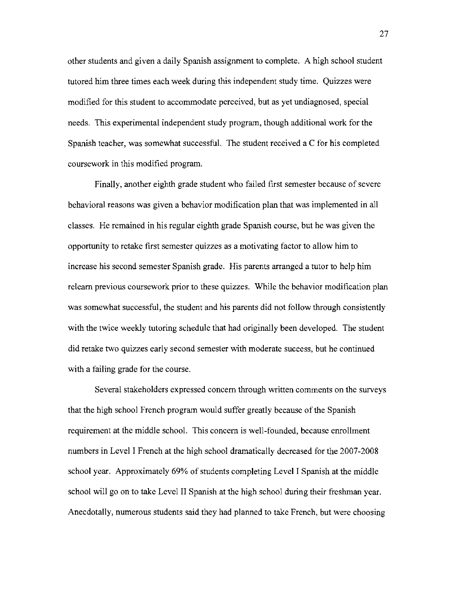other students and given a daily Spanish assignment to complete. A high school student tutored him three times each week during this independent study time. Quizzes were modified for this student to accommodate perceived, but as yet undiagnosed, special needs. This experimental independent study program, though additional work for the Spanish teacher, was somewhat successful. The student received a C for his completed coursework in this modified program.

Finally, another eighth grade student who failed first semester because of severe behavioral reasons was given a behavior modification plan that was implemented in all classes. He remained in his regular eighth grade Spanish course, but he was given the opportunity to retake first semester quizzes as a motivating factor to allow him to increase his second semester Spanish grade. His parents arranged a tutor to help him relearn previous coursework prior to these quizzes. While the behavior modification plan was somewhat successful, the student and his parents did not follow through consistently with the twice weekly tutoring schedule that had originally been developed. The student did retake two quizzes early second semester with moderate success, but he continued with a failing grade for the course.

Several stakeholders expressed concern through written comments on the surveys that the high school French program would suffer greatly because of the Spanish requirement at the middle school. This concern is well-founded, because enrollment numbers in Level I French at the high school dramatically decreased for the 2007-2008 school year. Approximately 69% of students completing Level I Spanish at the middle school will go on to take Level II Spanish at the high school during their freshman year. Anecdotally, numerous students said they had planned to take French, but were choosing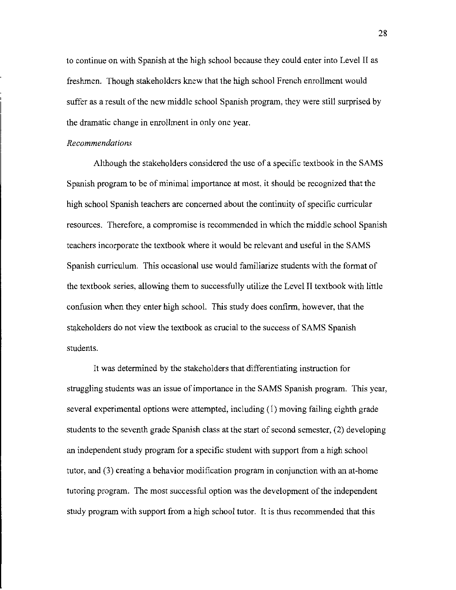to continue on with Spanish at the high school because they could enter into Level II as freshmen. Though stakeholders knew that the high school French enrollment would suffer as a result of the new middle school Spanish program, they were still surprised by the dramatic change in enrollment in only one year.

# *Recommendations*

Although the stakeholders considered the use of a specific textbook in the SAMS Spanish program to be of minimal importance at most, it should be recognized that the high school Spanish teachers are concerned about the continuity of specific curricular resources. Therefore, a compromise is recommended in which the middle school Spanish teachers incorporate the textbook where it would be relevant and useful in the SAMS Spanish curriculum. This occasional use would familiarize students with the format of the textbook series, allowing them to successfully utilize the Level II textbook with little confusion when they enter high school. This study does confirm, however, that the stakeholders do not view the textbook as crucial to the success of SAMS Spanish students.

It was determined by the stakeholders that differentiating instruction for struggling students was an issue of importance in the SAMS Spanish program. This year, several experimental options were attempted, including (1) moving failing eighth grade students to the seventh grade Spanish class at the start of second semester, (2) developing an independent study program for a specific student with support from a high school tutor, and (3) creating a behavior modification program in conjunction with an at-home tutoring program. The most successful option was the development of the independent study program with support from a high school tutor. It is thus recommended that this

28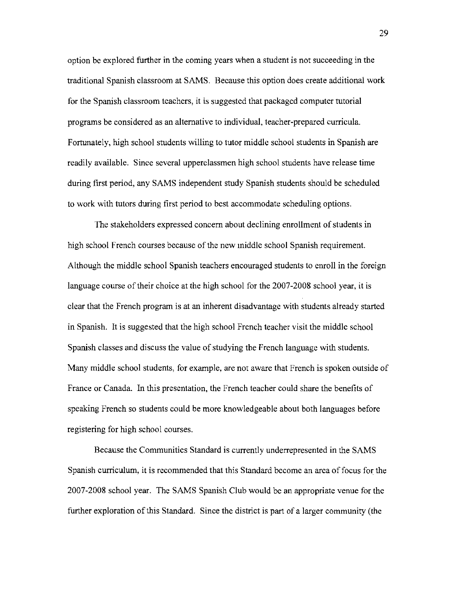option be explored further in the coming years when a student is not succeeding in the traditional Spanish classroom at SAMS. Because this option does create additional work for the Spanish classroom teachers, it is suggested that packaged computer tutorial programs be considered as an alternative to individual, teacher-prepared curricula. Fortunately, high school students willing to tutor middle school students in Spanish are readily available. Since several upperclassmen high school students have release time during first period, any SAMS independent study Spanish students should be scheduled to work with tutors during first period to best accommodate scheduling options.

The stakeholders expressed concern about declining enrollment of students in high school French courses because of the new middle school Spanish requirement. Although the middle school Spanish teachers encouraged students to enroll in the foreign language course of their choice at the high school for the 2007-2008 school year, it is clear that the French program is at an inherent disadvantage with students already started in Spanish. It is suggested that the high school French teacher visit the middle school Spanish classes and discuss the value of studying the French language with students. Many middle school students, for example, are not aware that French is spoken outside of France or Canada. In this presentation, the French teacher could share the benefits of speaking French so students could be more knowledgeable about both languages before registering for high school courses.

Because the Communities Standard is currently underrepresented in the SAMS Spanish curriculum, it is recommended that this Standard become an area of focus for the 2007-2008 school year. The SAMS Spanish Club would be an appropriate venue for the further exploration of this Standard. Since the district is part of a larger community (the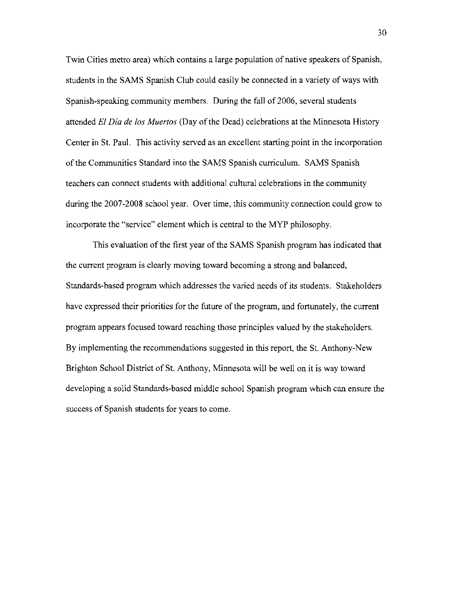Twin Cities metro area) which contains a large population of native speakers of Spanish, students in the SAMS Spanish Club could easily be connected in a variety of ways with Spanish-speaking community members. During the fall of 2006, several students attended *£1 Dia de los Muertos* (Day of the Dead) celebrations at the Minnesota History Center in St. Paul. This activity served as an excellent starting point in the incorporation of the Communities Standard into the SAMS Spanish curriculum. SAMS Spanish teachers can connect students with additional cultural celebrations in the community during the 2007-2008 school year. Over time, this community connection could grow to incorporate the "service" element which is central to the MYP philosophy.

This evaluation of the first year of the SAMS Spanish program has indicated that the current program is clearly moving toward becoming a strong and balanced, Standards-based program which addresses the varied needs of its students. Stakeholders have expressed their priorities for the future of the program, and fortunately, the current program appears focused toward reaching those principles valued by the stakeholders. By implementing the recommendations suggested in this report, the St. Anthony-New Brighton School District of St. Anthony, Minnesota will be well on it is way toward developing a solid Standards-based middle school Spanish program which can ensure the success of Spanish students for years to come.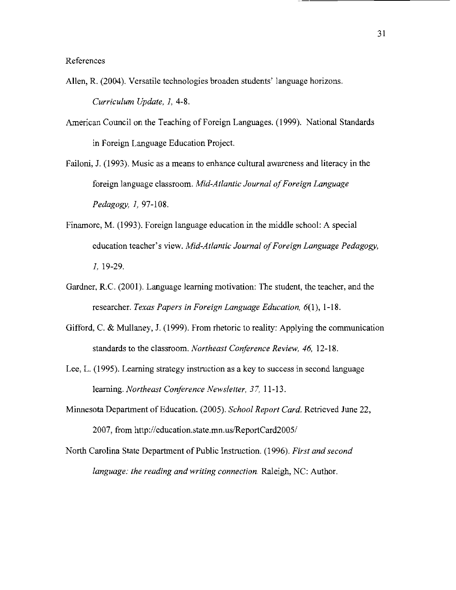References

- Allen, R. (2004). Versatile technologies broaden students' language horizons. *Curriculum Update,* 1, 4-8.
- American Council on the Teaching of Foreign Languages. (1999). National Standards in Foreign Language Education Project.
- Failoni, 1. (1993). Music as a means to enhance cultural awareness and literacy in the foreign language classroom. *Mid-Atlantic Journal of Foreign Language Pedagogy,* 1, 97-108.
- Finamore, M. (1993). Foreign language education in the middle school: A special education teacher's view. *Mid-Atlantic Journal of Foreign Language Pedagogy*, 1, 19-29.
- Gardner, R.C. (2001). Language learning motivation: The student, the teacher, and the researcher. *Texas Papers in Foreign Language Education,* 6(1), 1-18.
- Gifford, C. & Mullaney, J. (1999). From rhetoric to reality: Applying the communication standards to the classroom. *Northeast Conference Review,* 46, 12-18.
- Lee, L. (1995). Learning strategy instruction as a key to success in second language learning. *Northeast Conference Newsletter,* 37, 11-13.
- Minnesota Department of Education. (2005). *School Report Card.* Retrieved June 22, 2007, from http://education.state.mn.us/ReportCard2005/
- North Carolina State Department of Public Instruction. (1996). *First and second language: the reading and writing connection.* Raleigh, NC: Author.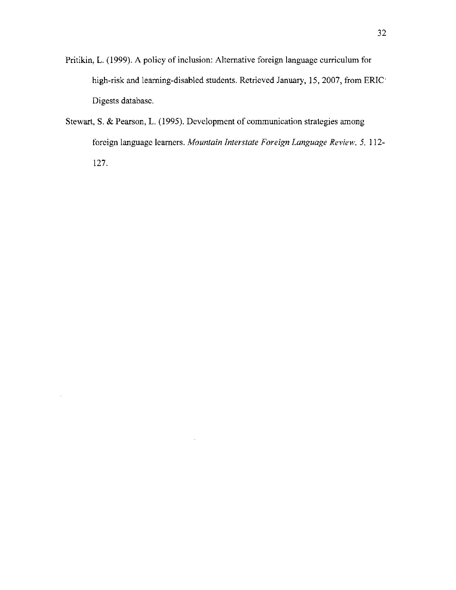- Pritikin, L. (1999). A policy of inclusion: Alternative foreign language curriculum for high-risk and learning-disabled students. Retrieved January, 15, 2007, from ERIC Digests database.
- Stewart, S. & Pearson, L. (1995). Development of communication strategies among foreign language learners. *Mountain Interstate Foreign Language Review.* 5, 112 127.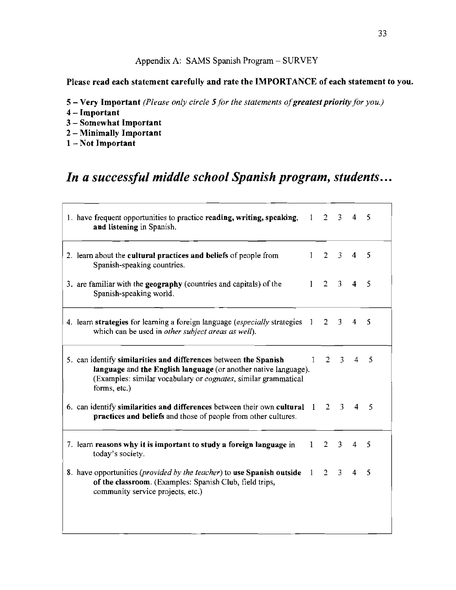# Appendix A: SAMS Spanish Program - SURVEY

# Please read each statement carefully and rate the IMPORTANCE of each statement to you.

- 5 Very Important *(Please only circle 5 for the statements of greatest priority for you.)*
- 4 Important
- 3 Somewhat Important
- 2 Minimally Important
- 1-Not Important

# *In a successful middle school Spanish program, students...*

| 1. have frequent opportunities to practice reading, writing, speaking, $1 \quad 2 \quad 3$<br>and listening in Spanish.                                                                                                       |              |                     |                | 4              | 5   |
|-------------------------------------------------------------------------------------------------------------------------------------------------------------------------------------------------------------------------------|--------------|---------------------|----------------|----------------|-----|
| 2. learn about the <b>cultural practices and beliefs</b> of people from<br>Spanish-speaking countries.                                                                                                                        |              | $1 \quad 2 \quad 3$ |                | $\overline{4}$ | - 5 |
| 3. are familiar with the <b>geography</b> (countries and capitals) of the<br>Spanish-speaking world.                                                                                                                          | $\mathbf{1}$ | $2 \quad 3$         |                | $\overline{4}$ | 5   |
| 4. learn strategies for learning a foreign language (especially strategies 1 2 3<br>which can be used in other subject areas as well).                                                                                        |              |                     |                | $\overline{4}$ | 5   |
| 5. can identify similarities and differences between the Spanish<br>language and the English language (or another native language).<br>(Examples: similar vocabulary or <i>cognates</i> , similar grammatical<br>forms, etc.) | $\mathbf{1}$ |                     | $2 \quad 3$    | 4              | -5  |
| 6. can identify similarities and differences between their own cultural 1<br>practices and beliefs and those of people from other cultures.                                                                                   |              | $2^{\circ}$         | $\overline{3}$ | $\overline{4}$ | -5  |
| 7. learn reasons why it is important to study a foreign language in<br>today's society.                                                                                                                                       |              | $1 \quad 2 \quad 3$ |                | $\overline{4}$ | 5   |
| 8. have opportunities ( <i>provided by the teacher</i> ) to use Spanish outside $1 \quad 2 \quad 3$<br>of the classroom. (Examples: Spanish Club, field trips,<br>community service projects, etc.)                           |              |                     |                | $\overline{4}$ | 5   |
|                                                                                                                                                                                                                               |              |                     |                |                |     |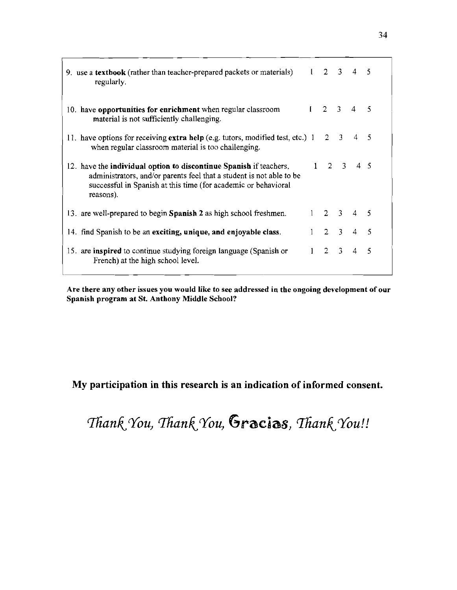| 9. use a textbook (rather than teacher-prepared packets or materials) $1 \quad 2 \quad 3$<br>regularly.                                                                                                                   |                 |                     | $4\overline{5}$             |     |
|---------------------------------------------------------------------------------------------------------------------------------------------------------------------------------------------------------------------------|-----------------|---------------------|-----------------------------|-----|
| 10. have opportunities for enrichment when regular classroom<br>material is not sufficiently challenging.                                                                                                                 | $1 \t2 \t3 \t4$ |                     |                             | -5  |
| 11. have options for receiving extra help (e.g. tutors, modified test, etc.) 1<br>when regular classroom material is too challenging.                                                                                     |                 | $2 \quad 3 \quad 4$ |                             | - 5 |
| 12. have the individual option to discontinue Spanish if teachers,<br>administrators, and/or parents feel that a student is not able to be<br>successful in Spanish at this time (for academic or behavioral<br>reasons). |                 |                     | $1 \t2 \t3 \t4 \t5$         |     |
| 13. are well-prepared to begin Spanish 2 as high school freshmen.                                                                                                                                                         |                 |                     | $1 \t2 \t3 \t4 \t5$         |     |
| 14. find Spanish to be an exciting, unique, and enjoyable class.                                                                                                                                                          |                 |                     | $1 \quad 2 \quad 3 \quad 4$ | -5  |
| 15. are inspired to continue studying foreign language (Spanish or<br>French) at the high school level.                                                                                                                   | $1 \t2 \t3 \t4$ |                     |                             | -5  |

Are there any otber issues you would like to see addressed in the ongoing development of our Spanish program at St. Anthony Middle Scbool?

# My participation in this research is an indication of informed consent.

Thank You, Thank You, Gracias, Thank You!!